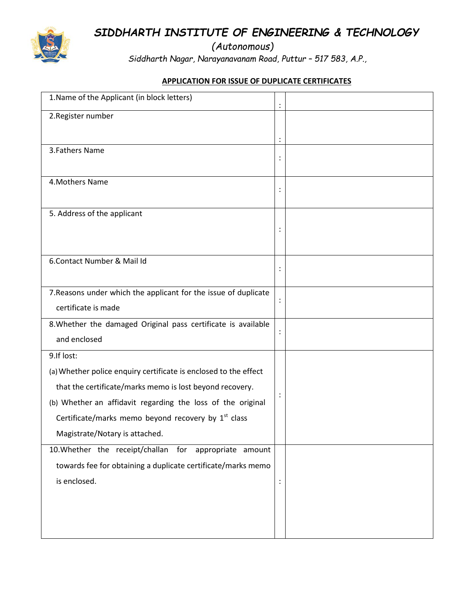*SIDDHARTH INSTITUTE OF ENGINEERING & TECHNOLOGY*

*(Autonomous)*

 *Siddharth Nagar, Narayanavanam Road, Puttur – 517 583, A.P.,*

## **APPLICATION FOR ISSUE OF DUPLICATE CERTIFICATES**

| 1. Name of the Applicant (in block letters)                      |                |  |
|------------------------------------------------------------------|----------------|--|
| 2. Register number                                               |                |  |
|                                                                  | $\ddot{\cdot}$ |  |
| 3. Fathers Name                                                  |                |  |
|                                                                  |                |  |
| 4. Mothers Name                                                  |                |  |
|                                                                  |                |  |
| 5. Address of the applicant                                      |                |  |
|                                                                  | $\ddot{\cdot}$ |  |
|                                                                  |                |  |
| 6. Contact Number & Mail Id                                      | $\ddot{\cdot}$ |  |
|                                                                  |                |  |
| 7. Reasons under which the applicant for the issue of duplicate  | $\ddot{\cdot}$ |  |
| certificate is made                                              |                |  |
| 8. Whether the damaged Original pass certificate is available    | :              |  |
| and enclosed                                                     |                |  |
| 9.If lost:                                                       |                |  |
| (a) Whether police enquiry certificate is enclosed to the effect |                |  |
| that the certificate/marks memo is lost beyond recovery.         |                |  |
| (b) Whether an affidavit regarding the loss of the original      |                |  |
| Certificate/marks memo beyond recovery by 1 <sup>st</sup> class  |                |  |
| Magistrate/Notary is attached.                                   |                |  |
| 10. Whether the receipt/challan for appropriate amount           |                |  |
| towards fee for obtaining a duplicate certificate/marks memo     |                |  |
| is enclosed.                                                     | $\ddot{\cdot}$ |  |
|                                                                  |                |  |
|                                                                  |                |  |
|                                                                  |                |  |

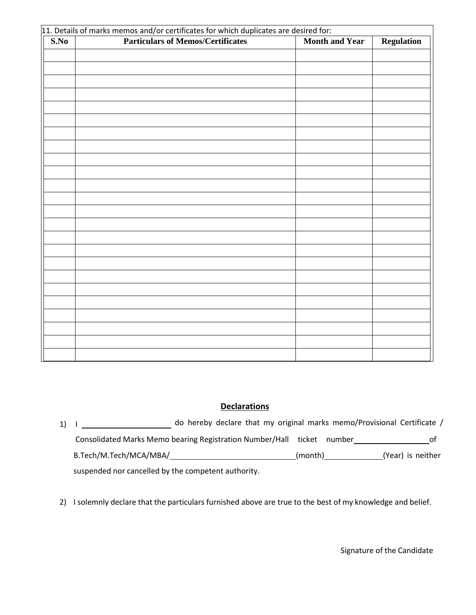| 11. Details of marks memos and/or certificates for which duplicates are desired for: |                                          |                       |                   |  |  |  |
|--------------------------------------------------------------------------------------|------------------------------------------|-----------------------|-------------------|--|--|--|
| S.No                                                                                 | <b>Particulars of Memos/Certificates</b> | <b>Month and Year</b> | <b>Regulation</b> |  |  |  |
|                                                                                      |                                          |                       |                   |  |  |  |
|                                                                                      |                                          |                       |                   |  |  |  |
|                                                                                      |                                          |                       |                   |  |  |  |
|                                                                                      |                                          |                       |                   |  |  |  |
|                                                                                      |                                          |                       |                   |  |  |  |
|                                                                                      |                                          |                       |                   |  |  |  |
|                                                                                      |                                          |                       |                   |  |  |  |
|                                                                                      |                                          |                       |                   |  |  |  |
|                                                                                      |                                          |                       |                   |  |  |  |
|                                                                                      |                                          |                       |                   |  |  |  |
|                                                                                      |                                          |                       |                   |  |  |  |
|                                                                                      |                                          |                       |                   |  |  |  |
|                                                                                      |                                          |                       |                   |  |  |  |
|                                                                                      |                                          |                       |                   |  |  |  |
|                                                                                      |                                          |                       |                   |  |  |  |
|                                                                                      |                                          |                       |                   |  |  |  |
|                                                                                      |                                          |                       |                   |  |  |  |
|                                                                                      |                                          |                       |                   |  |  |  |
|                                                                                      |                                          |                       |                   |  |  |  |
|                                                                                      |                                          |                       |                   |  |  |  |
|                                                                                      |                                          |                       |                   |  |  |  |
|                                                                                      |                                          |                       |                   |  |  |  |
|                                                                                      |                                          |                       |                   |  |  |  |
|                                                                                      |                                          |                       |                   |  |  |  |
|                                                                                      |                                          |                       |                   |  |  |  |
|                                                                                      |                                          |                       |                   |  |  |  |
|                                                                                      |                                          |                       |                   |  |  |  |
|                                                                                      |                                          |                       |                   |  |  |  |

## **Declarations**

| 1) I | do hereby declare that my original marks memo/Provisional Certificate / |                                                                        |  |         |                   |  |  |  |
|------|-------------------------------------------------------------------------|------------------------------------------------------------------------|--|---------|-------------------|--|--|--|
|      |                                                                         | Consolidated Marks Memo bearing Registration Number/Hall ticket number |  |         | 0t                |  |  |  |
|      | B.Tech/M.Tech/MCA/MBA/                                                  |                                                                        |  | (month) | (Year) is neither |  |  |  |
|      | suspended nor cancelled by the competent authority.                     |                                                                        |  |         |                   |  |  |  |

2) I solemnly declare that the particulars furnished above are true to the best of my knowledge and belief.

Signature of the Candidate